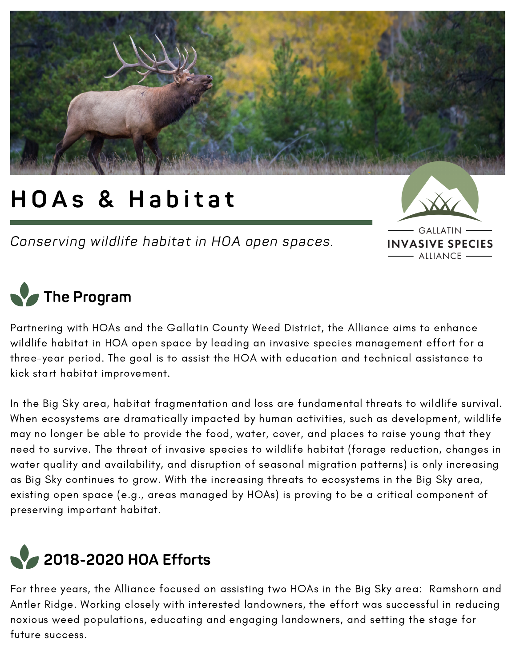

# HOAs & Habitat

Conserving wildlife habitat in HOA open spaces.



## **The Program**

Partnering with HOAs and the Gallatin County Weed District, the Alliance aims to enhance wildlife habitat in HOA open space by leading an invasive species management effort for a three-year period. The goal is to assist the HOA with education and technical assistance to kick start habitat improvement.

In the Big Sky area, habitat fragmentation and loss are fundamental threats to wildlife survival. When ecosystems are dramatically impacted by human activities, such as development, wildlife may no longer be able to provide the food, water, cover, and places to raise young that they need to survive. The threat of invasive species to wildlife habitat (forage reduction, changes in water quality and availability, and disruption of seasonal migration patterns) is only increasing as Big Sky continues to grow. With the increasing threats to ecosystems in the Big Sky area, existing open space (e.g., areas managed by HOAs) is proving to be a critical component of preserving important habitat.



For three years, the Alliance focused on assisting two HOAs in the Big Sky area: Ramshorn and Antler Ridge. Working closely with interested landowners, the effort was successful in reducing noxious weed populations, educating and engaging landowners, and setting the stage for future success.